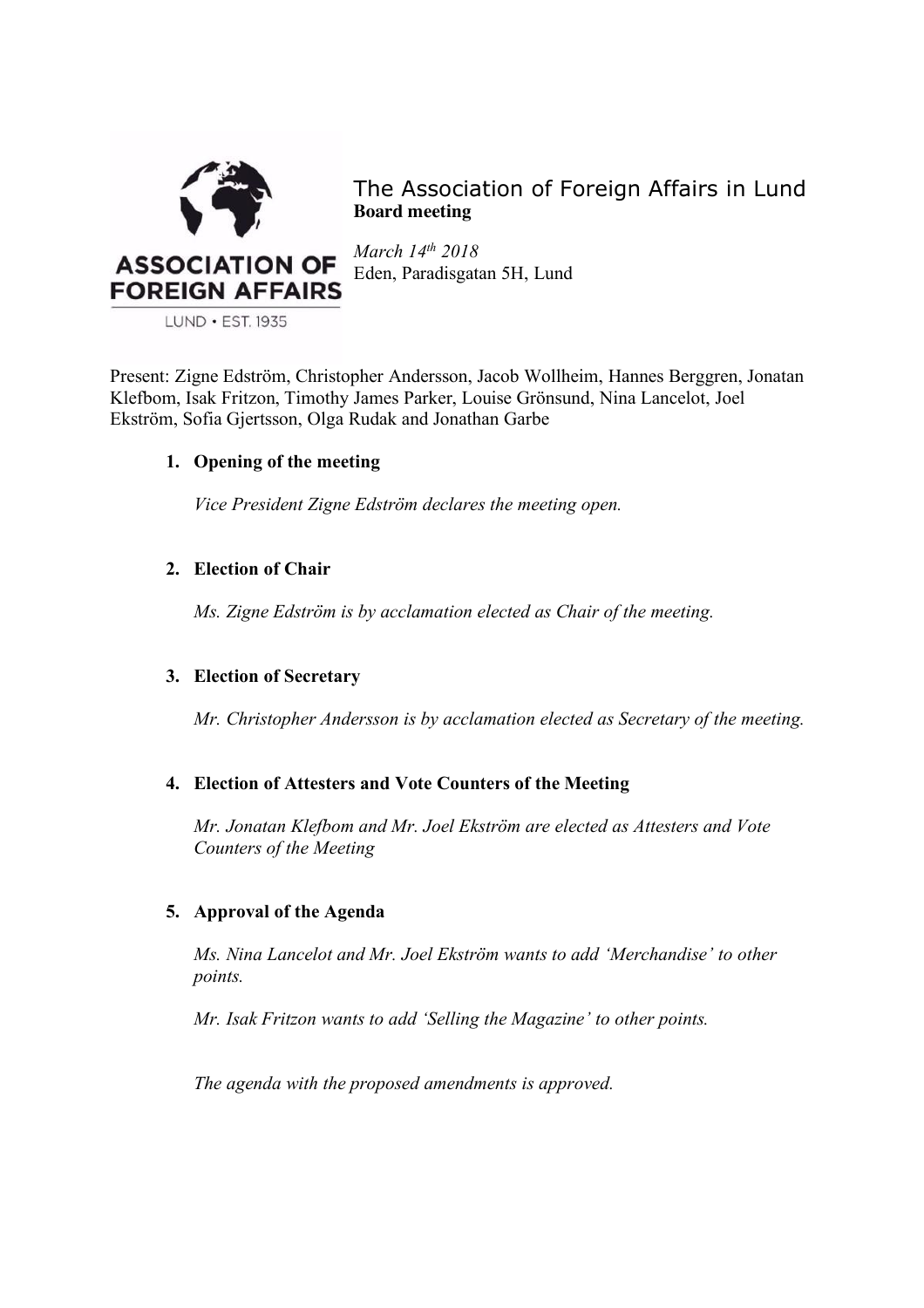

The Association of Foreign Affairs in Lund **Board meeting**

*March 14th 2018* Eden, Paradisgatan 5H, Lund

LUND · EST. 1935

Present: Zigne Edström, Christopher Andersson, Jacob Wollheim, Hannes Berggren, Jonatan Klefbom, Isak Fritzon, Timothy James Parker, Louise Grönsund, Nina Lancelot, Joel Ekström, Sofia Gjertsson, Olga Rudak and Jonathan Garbe

# **1. Opening of the meeting**

*Vice President Zigne Edström declares the meeting open.*

# **2. Election of Chair**

*Ms. Zigne Edström is by acclamation elected as Chair of the meeting.*

## **3. Election of Secretary**

*Mr. Christopher Andersson is by acclamation elected as Secretary of the meeting.*

## **4. Election of Attesters and Vote Counters of the Meeting**

*Mr. Jonatan Klefbom and Mr. Joel Ekström are elected as Attesters and Vote Counters of the Meeting*

## **5. Approval of the Agenda**

*Ms. Nina Lancelot and Mr. Joel Ekström wants to add 'Merchandise' to other points.*

*Mr. Isak Fritzon wants to add 'Selling the Magazine' to other points.*

*The agenda with the proposed amendments is approved.*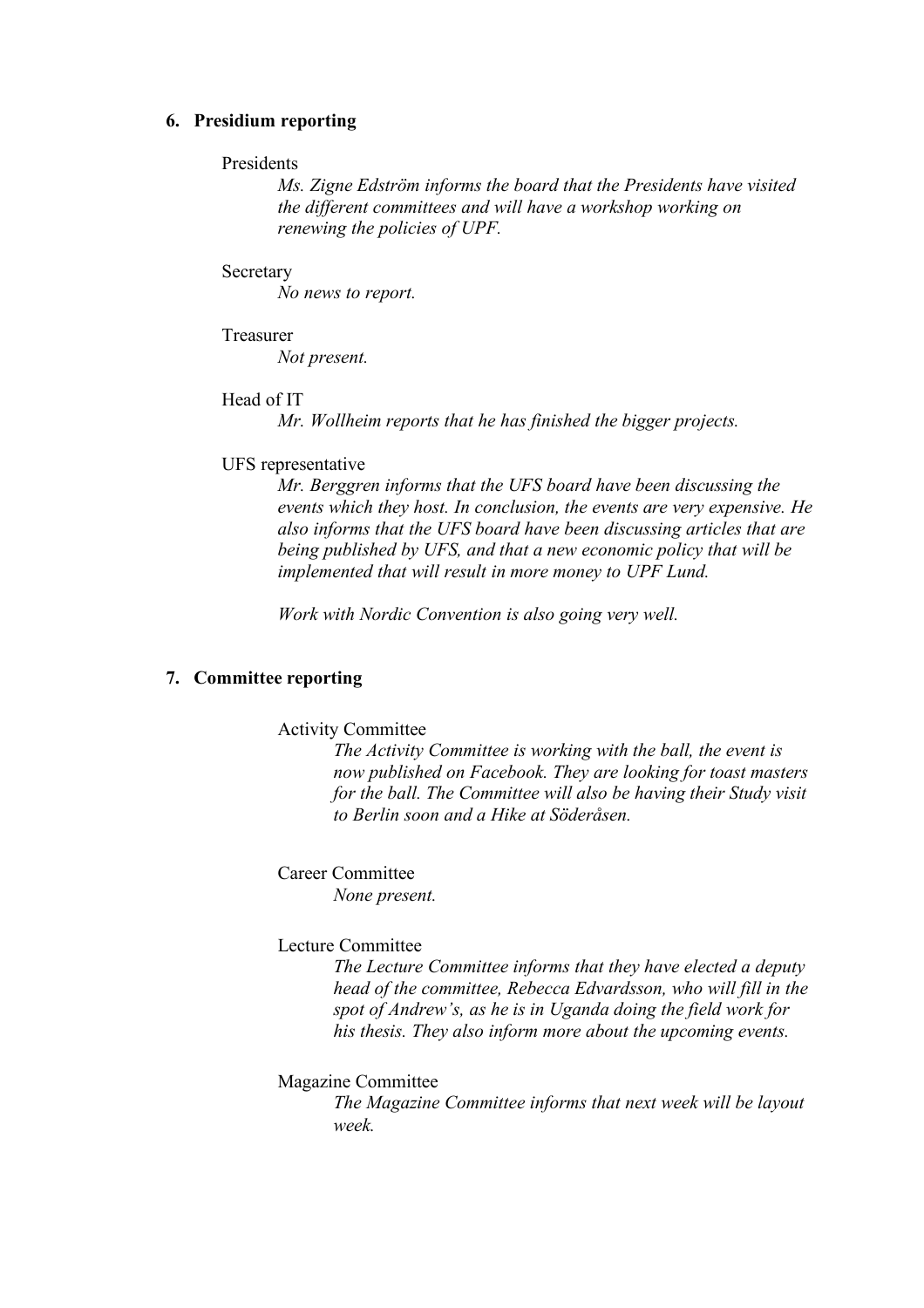#### **6. Presidium reporting**

### Presidents

*Ms. Zigne Edström informs the board that the Presidents have visited the different committees and will have a workshop working on renewing the policies of UPF.* 

#### **Secretary**

*No news to report.* 

# Treasurer

*Not present.* 

## Head of IT

*Mr. Wollheim reports that he has finished the bigger projects.* 

#### UFS representative

*Mr. Berggren informs that the UFS board have been discussing the events which they host. In conclusion, the events are very expensive. He also informs that the UFS board have been discussing articles that are being published by UFS, and that a new economic policy that will be implemented that will result in more money to UPF Lund.* 

*Work with Nordic Convention is also going very well.* 

## **7. Committee reporting**

#### Activity Committee

*The Activity Committee is working with the ball, the event is now published on Facebook. They are looking for toast masters for the ball. The Committee will also be having their Study visit to Berlin soon and a Hike at Söderåsen.*

# Career Committee

*None present.* 

#### Lecture Committee

*The Lecture Committee informs that they have elected a deputy head of the committee, Rebecca Edvardsson, who will fill in the spot of Andrew's, as he is in Uganda doing the field work for his thesis. They also inform more about the upcoming events.* 

#### Magazine Committee

*The Magazine Committee informs that next week will be layout week.*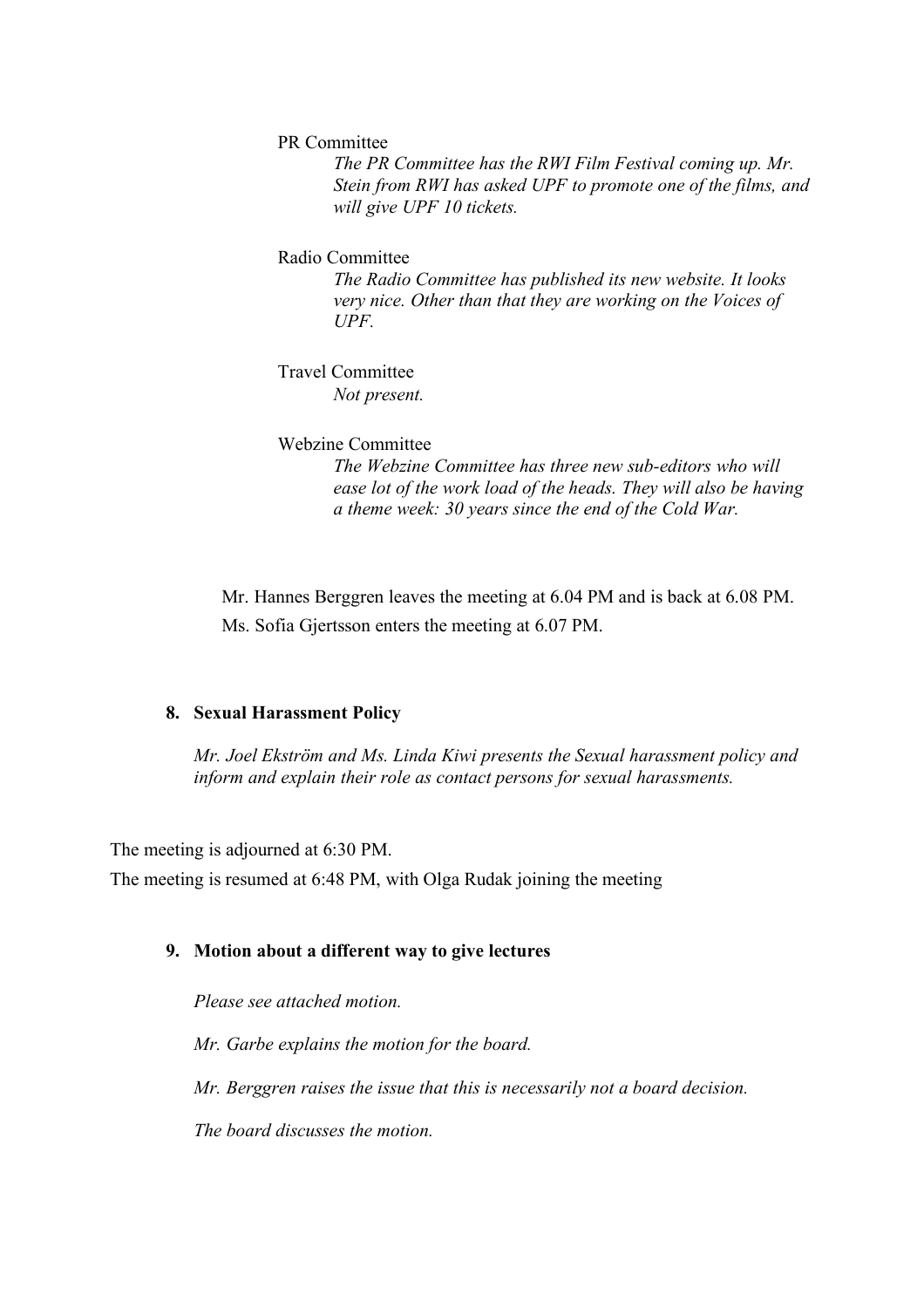PR Committee

*The PR Committee has the RWI Film Festival coming up. Mr. Stein from RWI has asked UPF to promote one of the films, and will give UPF 10 tickets.* 

Radio Committee

*The Radio Committee has published its new website. It looks very nice. Other than that they are working on the Voices of UPF.*

Travel Committee *Not present.* 

#### Webzine Committee

*The Webzine Committee has three new sub-editors who will ease lot of the work load of the heads. They will also be having a theme week: 30 years since the end of the Cold War.* 

Mr. Hannes Berggren leaves the meeting at 6.04 PM and is back at 6.08 PM. Ms. Sofia Gjertsson enters the meeting at 6.07 PM.

## **8. Sexual Harassment Policy**

*Mr. Joel Ekström and Ms. Linda Kiwi presents the Sexual harassment policy and inform and explain their role as contact persons for sexual harassments.* 

The meeting is adjourned at 6:30 PM.

The meeting is resumed at 6:48 PM, with Olga Rudak joining the meeting

#### **9. Motion about a different way to give lectures**

*Please see attached motion.* 

*Mr. Garbe explains the motion for the board.*

*Mr. Berggren raises the issue that this is necessarily not a board decision.* 

*The board discusses the motion.*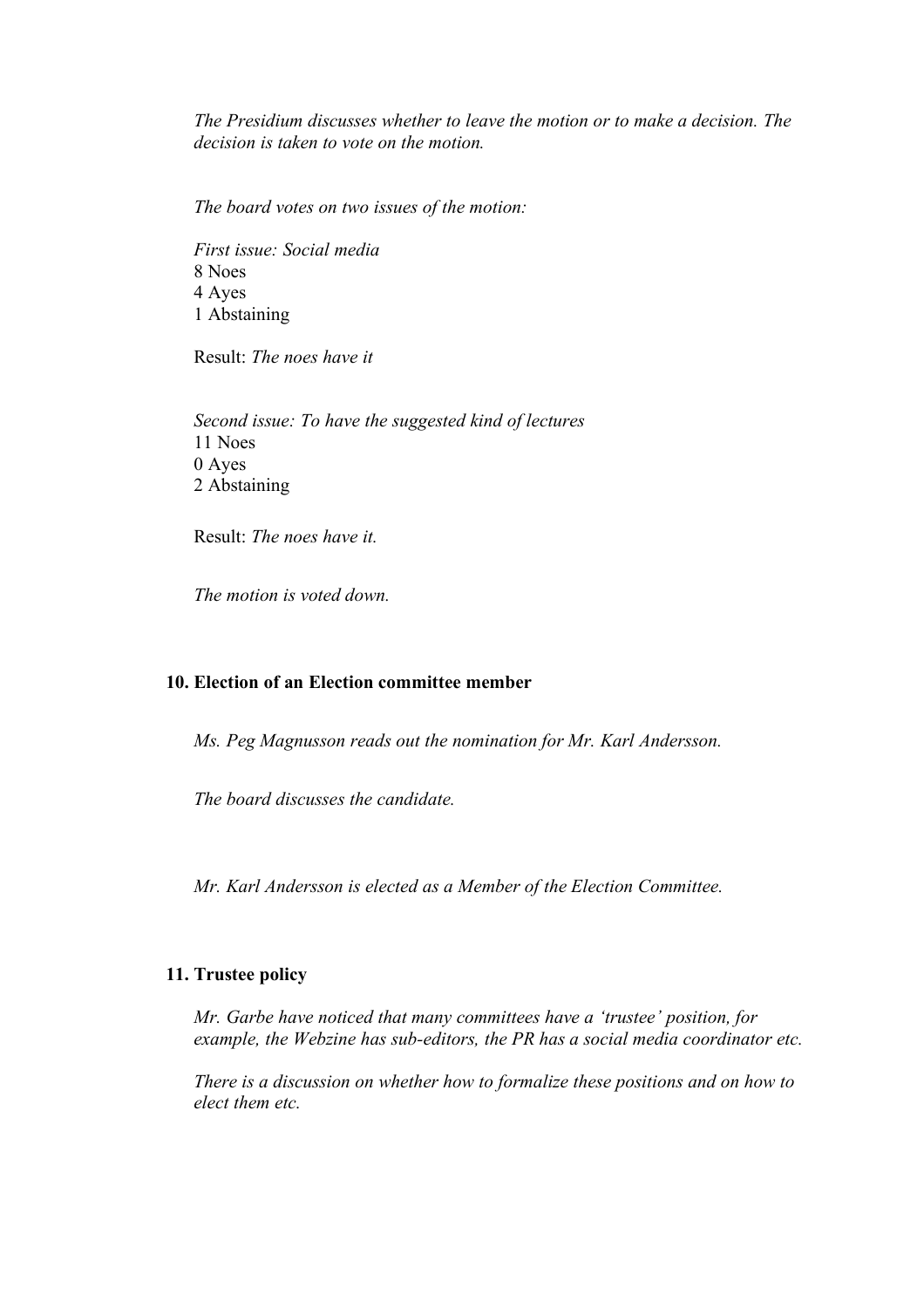*The Presidium discusses whether to leave the motion or to make a decision. The decision is taken to vote on the motion.* 

*The board votes on two issues of the motion:*

*First issue: Social media* 8 Noes 4 Ayes 1 Abstaining

Result: *The noes have it*

*Second issue: To have the suggested kind of lectures* 11 Noes 0 Ayes 2 Abstaining

Result: *The noes have it.*

*The motion is voted down.* 

## **10. Election of an Election committee member**

*Ms. Peg Magnusson reads out the nomination for Mr. Karl Andersson.* 

*The board discusses the candidate.* 

*Mr. Karl Andersson is elected as a Member of the Election Committee.* 

## **11. Trustee policy**

*Mr. Garbe have noticed that many committees have a 'trustee' position, for example, the Webzine has sub-editors, the PR has a social media coordinator etc.* 

*There is a discussion on whether how to formalize these positions and on how to elect them etc.*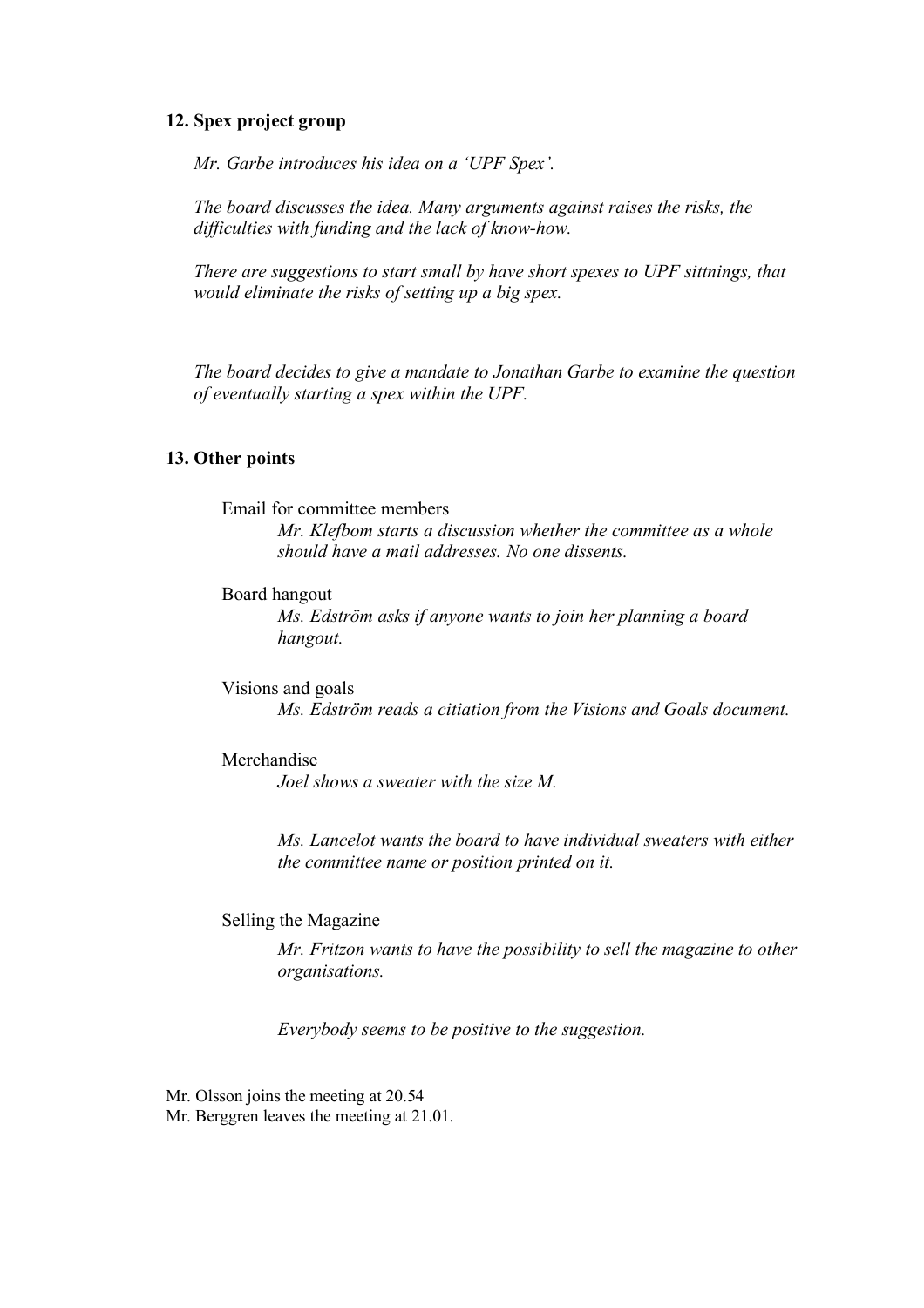#### **12. Spex project group**

*Mr. Garbe introduces his idea on a 'UPF Spex'.* 

*The board discusses the idea. Many arguments against raises the risks, the difficulties with funding and the lack of know-how.* 

*There are suggestions to start small by have short spexes to UPF sittnings, that would eliminate the risks of setting up a big spex.* 

*The board decides to give a mandate to Jonathan Garbe to examine the question of eventually starting a spex within the UPF.* 

#### **13. Other points**

#### Email for committee members

*Mr. Klefbom starts a discussion whether the committee as a whole should have a mail addresses. No one dissents.* 

#### Board hangout

*Ms. Edström asks if anyone wants to join her planning a board hangout.* 

Visions and goals *Ms. Edström reads a citiation from the Visions and Goals document.* 

#### Merchandise

*Joel shows a sweater with the size M.* 

*Ms. Lancelot wants the board to have individual sweaters with either the committee name or position printed on it.* 

#### Selling the Magazine

*Mr. Fritzon wants to have the possibility to sell the magazine to other organisations.* 

*Everybody seems to be positive to the suggestion.*

Mr. Olsson joins the meeting at 20.54 Mr. Berggren leaves the meeting at 21.01.